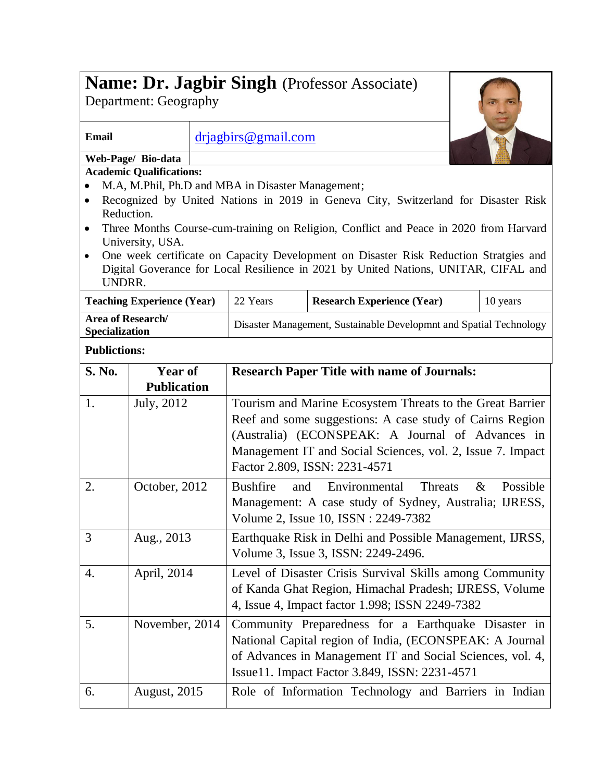| <b>Name: Dr. Jagbir Singh</b> (Professor Associate)<br>Department: Geography                                                                                                                        |                      |                                                                    |                                                    |                                                                                                                                                                                                                                                                          |                  |  |
|-----------------------------------------------------------------------------------------------------------------------------------------------------------------------------------------------------|----------------------|--------------------------------------------------------------------|----------------------------------------------------|--------------------------------------------------------------------------------------------------------------------------------------------------------------------------------------------------------------------------------------------------------------------------|------------------|--|
| <b>Email</b>                                                                                                                                                                                        |                      | drjagbirs@gmail.com                                                |                                                    |                                                                                                                                                                                                                                                                          |                  |  |
| Web-Page/ Bio-data                                                                                                                                                                                  |                      |                                                                    |                                                    |                                                                                                                                                                                                                                                                          |                  |  |
| <b>Academic Qualifications:</b>                                                                                                                                                                     |                      |                                                                    |                                                    |                                                                                                                                                                                                                                                                          |                  |  |
| M.A, M.Phil, Ph.D and MBA in Disaster Management;<br>Recognized by United Nations in 2019 in Geneva City, Switzerland for Disaster Risk<br>Reduction.                                               |                      |                                                                    |                                                    |                                                                                                                                                                                                                                                                          |                  |  |
| Three Months Course-cum-training on Religion, Conflict and Peace in 2020 from Harvard<br>University, USA.                                                                                           |                      |                                                                    |                                                    |                                                                                                                                                                                                                                                                          |                  |  |
| One week certificate on Capacity Development on Disaster Risk Reduction Stratgies and<br>$\bullet$<br>Digital Goverance for Local Resilience in 2021 by United Nations, UNITAR, CIFAL and<br>UNDRR. |                      |                                                                    |                                                    |                                                                                                                                                                                                                                                                          |                  |  |
| <b>Teaching Experience (Year)</b>                                                                                                                                                                   |                      | 22 Years                                                           | <b>Research Experience (Year)</b>                  | 10 years                                                                                                                                                                                                                                                                 |                  |  |
| <b>Area of Research/</b><br>Specialization                                                                                                                                                          |                      | Disaster Management, Sustainable Developmnt and Spatial Technology |                                                    |                                                                                                                                                                                                                                                                          |                  |  |
| <b>Publictions:</b>                                                                                                                                                                                 |                      |                                                                    |                                                    |                                                                                                                                                                                                                                                                          |                  |  |
| S. No.                                                                                                                                                                                              | <b>Year of</b>       |                                                                    | <b>Research Paper Title with name of Journals:</b> |                                                                                                                                                                                                                                                                          |                  |  |
|                                                                                                                                                                                                     | <b>Publication</b>   |                                                                    |                                                    |                                                                                                                                                                                                                                                                          |                  |  |
| 1.                                                                                                                                                                                                  | July, 2012           |                                                                    |                                                    | Tourism and Marine Ecosystem Threats to the Great Barrier<br>Reef and some suggestions: A case study of Cairns Region<br>(Australia) (ECONSPEAK: A Journal of Advances in<br>Management IT and Social Sciences, vol. 2, Issue 7. Impact<br>Factor 2.809, ISSN: 2231-4571 |                  |  |
| 2.                                                                                                                                                                                                  | October, 2012        |                                                                    | <b>Bushfire</b><br>and                             | Threats<br>Environmental<br>Management: A case study of Sydney, Australia; IJRESS,<br>Volume 2, Issue 10, ISSN : 2249-7382                                                                                                                                               | Possible<br>$\&$ |  |
| 3                                                                                                                                                                                                   | Aug., 2013           |                                                                    |                                                    | Earthquake Risk in Delhi and Possible Management, IJRSS,<br>Volume 3, Issue 3, ISSN: 2249-2496.                                                                                                                                                                          |                  |  |
| 4.                                                                                                                                                                                                  | April, 2014          |                                                                    |                                                    | Level of Disaster Crisis Survival Skills among Community<br>of Kanda Ghat Region, Himachal Pradesh; IJRESS, Volume<br>4, Issue 4, Impact factor 1.998; ISSN 2249-7382                                                                                                    |                  |  |
| 5.                                                                                                                                                                                                  | November, 2014       |                                                                    |                                                    | Community Preparedness for a Earthquake Disaster in<br>National Capital region of India, (ECONSPEAK: A Journal<br>of Advances in Management IT and Social Sciences, vol. 4,<br>Issue11. Impact Factor 3.849, ISSN: 2231-4571                                             |                  |  |
| 6.                                                                                                                                                                                                  | <b>August</b> , 2015 |                                                                    |                                                    | Role of Information Technology and Barriers in Indian                                                                                                                                                                                                                    |                  |  |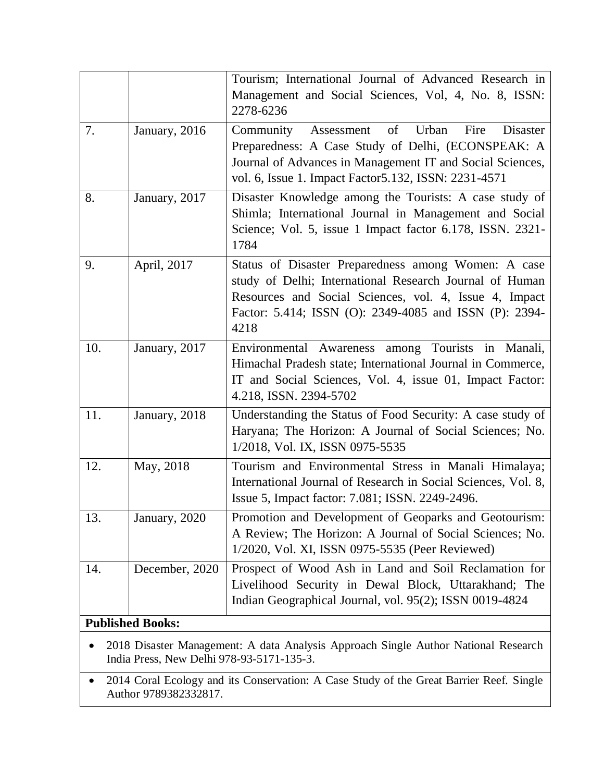|     |                                                                                    | Tourism; International Journal of Advanced Research in<br>Management and Social Sciences, Vol, 4, No. 8, ISSN:<br>2278-6236                                                                                                                   |  |  |  |  |
|-----|------------------------------------------------------------------------------------|-----------------------------------------------------------------------------------------------------------------------------------------------------------------------------------------------------------------------------------------------|--|--|--|--|
| 7.  | January, 2016                                                                      | of<br>Urban<br>Fire<br>Community<br><b>Disaster</b><br>Assessment<br>Preparedness: A Case Study of Delhi, (ECONSPEAK: A<br>Journal of Advances in Management IT and Social Sciences,<br>vol. 6, Issue 1. Impact Factor 5.132, ISSN: 2231-4571 |  |  |  |  |
| 8.  | January, 2017                                                                      | Disaster Knowledge among the Tourists: A case study of<br>Shimla; International Journal in Management and Social<br>Science; Vol. 5, issue 1 Impact factor 6.178, ISSN. 2321-<br>1784                                                         |  |  |  |  |
| 9.  | April, 2017                                                                        | Status of Disaster Preparedness among Women: A case<br>study of Delhi; International Research Journal of Human<br>Resources and Social Sciences, vol. 4, Issue 4, Impact<br>Factor: 5.414; ISSN (O): 2349-4085 and ISSN (P): 2394-<br>4218    |  |  |  |  |
| 10. | January, 2017                                                                      | Environmental Awareness among Tourists in Manali,<br>Himachal Pradesh state; International Journal in Commerce,<br>IT and Social Sciences, Vol. 4, issue 01, Impact Factor:<br>4.218, ISSN. 2394-5702                                         |  |  |  |  |
| 11. | January, 2018                                                                      | Understanding the Status of Food Security: A case study of<br>Haryana; The Horizon: A Journal of Social Sciences; No.<br>1/2018, Vol. IX, ISSN 0975-5535                                                                                      |  |  |  |  |
| 12. | May, 2018                                                                          | Tourism and Environmental Stress in Manali Himalaya;<br>International Journal of Research in Social Sciences, Vol. 8,<br>Issue 5, Impact factor: 7.081; ISSN. 2249-2496.                                                                      |  |  |  |  |
| 13. | January, 2020                                                                      | Promotion and Development of Geoparks and Geotourism:<br>A Review; The Horizon: A Journal of Social Sciences; No.<br>1/2020, Vol. XI, ISSN 0975-5535 (Peer Reviewed)                                                                          |  |  |  |  |
| 14. | December, 2020                                                                     | Prospect of Wood Ash in Land and Soil Reclamation for<br>Livelihood Security in Dewal Block, Uttarakhand; The<br>Indian Geographical Journal, vol. 95(2); ISSN 0019-4824                                                                      |  |  |  |  |
|     | <b>Published Books:</b>                                                            |                                                                                                                                                                                                                                               |  |  |  |  |
|     | 2018 Disaster Management: A data Analysis Approach Single Author National Research |                                                                                                                                                                                                                                               |  |  |  |  |

India Press, New Delhi 978-93-5171-135-3.

• 2014 Coral Ecology and its Conservation: A Case Study of the Great Barrier Reef. Single Author 9789382332817.